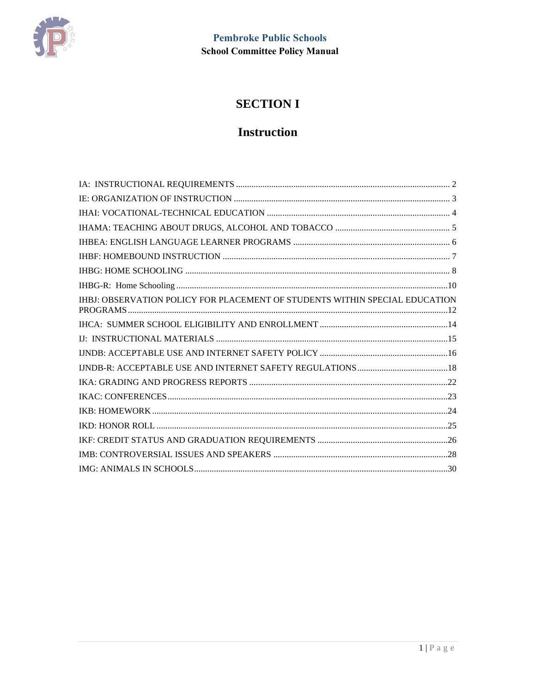

# **SECTION I**

# **Instruction**

| IHBJ: OBSERVATION POLICY FOR PLACEMENT OF STUDENTS WITHIN SPECIAL EDUCATION |
|-----------------------------------------------------------------------------|
|                                                                             |
|                                                                             |
|                                                                             |
|                                                                             |
|                                                                             |
|                                                                             |
|                                                                             |
|                                                                             |
|                                                                             |
|                                                                             |
|                                                                             |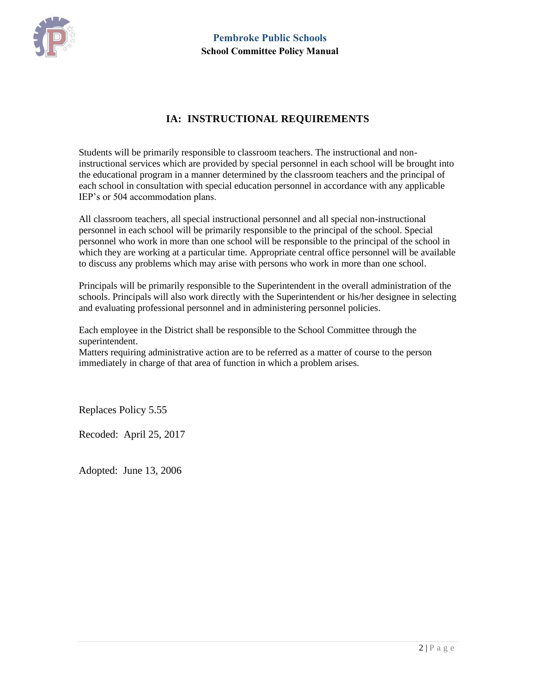

# **IA: INSTRUCTIONAL REQUIREMENTS**

<span id="page-1-0"></span>Students will be primarily responsible to classroom teachers. The instructional and noninstructional services which are provided by special personnel in each school will be brought into the educational program in a manner determined by the classroom teachers and the principal of each school in consultation with special education personnel in accordance with any applicable IEP's or 504 accommodation plans.

All classroom teachers, all special instructional personnel and all special non-instructional personnel in each school will be primarily responsible to the principal of the school. Special personnel who work in more than one school will be responsible to the principal of the school in which they are working at a particular time. Appropriate central office personnel will be available to discuss any problems which may arise with persons who work in more than one school.

Principals will be primarily responsible to the Superintendent in the overall administration of the schools. Principals will also work directly with the Superintendent or his/her designee in selecting and evaluating professional personnel and in administering personnel policies.

Each employee in the District shall be responsible to the School Committee through the superintendent.

Matters requiring administrative action are to be referred as a matter of course to the person immediately in charge of that area of function in which a problem arises.

Replaces Policy 5.55

Recoded: April 25, 2017

Adopted: June 13, 2006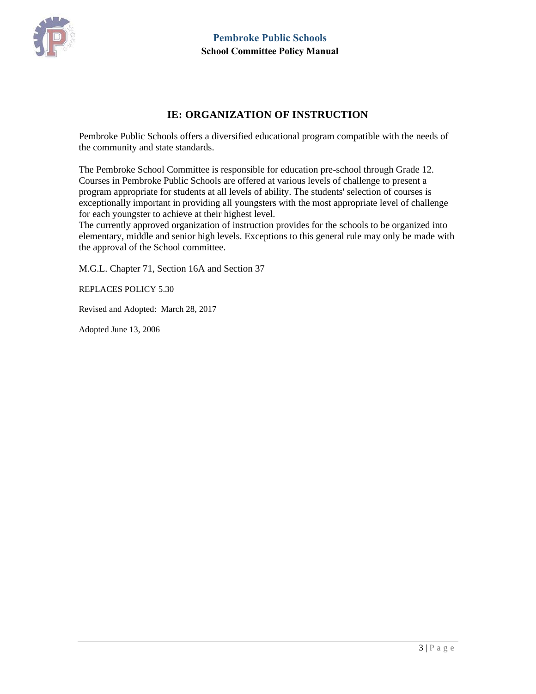

#### **IE: ORGANIZATION OF INSTRUCTION**

<span id="page-2-0"></span>Pembroke Public Schools offers a diversified educational program compatible with the needs of the community and state standards.

The Pembroke School Committee is responsible for education pre-school through Grade 12. Courses in Pembroke Public Schools are offered at various levels of challenge to present a program appropriate for students at all levels of ability. The students' selection of courses is exceptionally important in providing all youngsters with the most appropriate level of challenge for each youngster to achieve at their highest level.

The currently approved organization of instruction provides for the schools to be organized into elementary, middle and senior high levels. Exceptions to this general rule may only be made with the approval of the School committee.

M.G.L. Chapter 71, Section 16A and Section 37

REPLACES POLICY 5.30

Revised and Adopted: March 28, 2017

Adopted June 13, 2006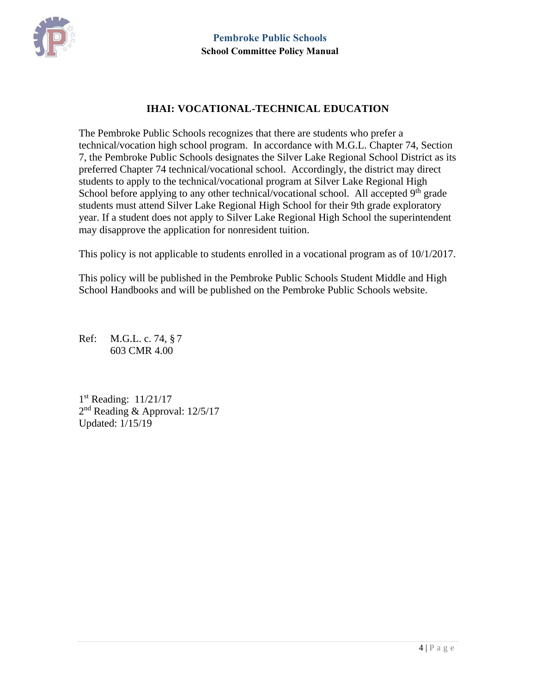

# **IHAI: VOCATIONAL-TECHNICAL EDUCATION**

<span id="page-3-0"></span>The Pembroke Public Schools recognizes that there are students who prefer a technical/vocation high school program. In accordance with M.G.L. Chapter 74, Section 7, the Pembroke Public Schools designates the Silver Lake Regional School District as its preferred Chapter 74 technical/vocational school. Accordingly, the district may direct students to apply to the technical/vocational program at Silver Lake Regional High School before applying to any other technical/vocational school. All accepted  $9<sup>th</sup>$  grade students must attend Silver Lake Regional High School for their 9th grade exploratory year. If a student does not apply to Silver Lake Regional High School the superintendent may disapprove the application for nonresident tuition.

This policy is not applicable to students enrolled in a vocational program as of 10/1/2017.

This policy will be published in the Pembroke Public Schools Student Middle and High School Handbooks and will be published on the Pembroke Public Schools website.

Ref: M.G.L. c. 74, § 7 603 CMR 4.00

1 st Reading: 11/21/17 2<sup>nd</sup> Reading & Approval: 12/5/17 Updated: 1/15/19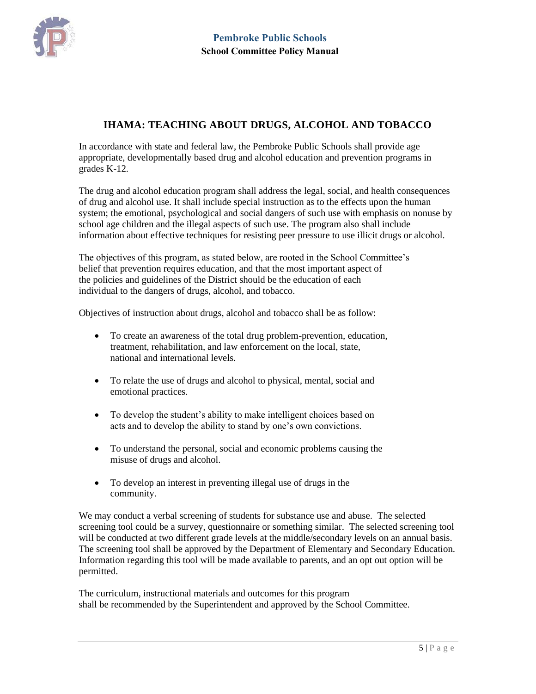

# **IHAMA: TEACHING ABOUT DRUGS, ALCOHOL AND TOBACCO**

<span id="page-4-0"></span>In accordance with state and federal law, the Pembroke Public Schools shall provide age appropriate, developmentally based drug and alcohol education and prevention programs in grades K-12.

The drug and alcohol education program shall address the legal, social, and health consequences of drug and alcohol use. It shall include special instruction as to the effects upon the human system; the emotional, psychological and social dangers of such use with emphasis on nonuse by school age children and the illegal aspects of such use. The program also shall include information about effective techniques for resisting peer pressure to use illicit drugs or alcohol.

The objectives of this program, as stated below, are rooted in the School Committee's belief that prevention requires education, and that the most important aspect of the policies and guidelines of the District should be the education of each individual to the dangers of drugs, alcohol, and tobacco.

Objectives of instruction about drugs, alcohol and tobacco shall be as follow:

- To create an awareness of the total drug problem-prevention, education, treatment, rehabilitation, and law enforcement on the local, state, national and international levels.
- To relate the use of drugs and alcohol to physical, mental, social and emotional practices.
- To develop the student's ability to make intelligent choices based on acts and to develop the ability to stand by one's own convictions.
- To understand the personal, social and economic problems causing the misuse of drugs and alcohol.
- To develop an interest in preventing illegal use of drugs in the community.

We may conduct a verbal screening of students for substance use and abuse. The selected screening tool could be a survey, questionnaire or something similar. The selected screening tool will be conducted at two different grade levels at the middle/secondary levels on an annual basis. The screening tool shall be approved by the Department of Elementary and Secondary Education. Information regarding this tool will be made available to parents, and an opt out option will be permitted.

The curriculum, instructional materials and outcomes for this program shall be recommended by the Superintendent and approved by the School Committee.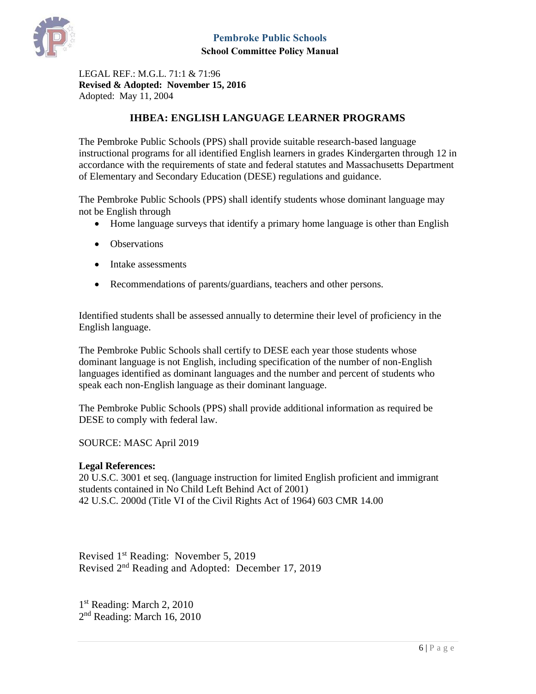

LEGAL REF.: M.G.L. 71:1 & 71:96 **Revised & Adopted: November 15, 2016** Adopted: May 11, 2004

### **IHBEA: ENGLISH LANGUAGE LEARNER PROGRAMS**

<span id="page-5-0"></span>The Pembroke Public Schools (PPS) shall provide suitable research-based language instructional programs for all identified English learners in grades Kindergarten through 12 in accordance with the requirements of state and federal statutes and Massachusetts Department of Elementary and Secondary Education (DESE) regulations and guidance.

The Pembroke Public Schools (PPS) shall identify students whose dominant language may not be English through

- Home language surveys that identify a primary home language is other than English
- Observations
- Intake assessments
- Recommendations of parents/guardians, teachers and other persons.

Identified students shall be assessed annually to determine their level of proficiency in the English language.

The Pembroke Public Schools shall certify to DESE each year those students whose dominant language is not English, including specification of the number of non-English languages identified as dominant languages and the number and percent of students who speak each non-English language as their dominant language.

The Pembroke Public Schools (PPS) shall provide additional information as required be DESE to comply with federal law.

SOURCE: MASC April 2019

#### **Legal References:**

20 U.S.C. 3001 et seq. (language instruction for limited English proficient and immigrant students contained in No Child Left Behind Act of 2001) 42 U.S.C. 2000d (Title VI of the Civil Rights Act of 1964) 603 CMR 14.00

Revised 1<sup>st</sup> Reading: November 5, 2019 Revised 2<sup>nd</sup> Reading and Adopted: December 17, 2019

1<sup>st</sup> Reading: March 2, 2010 2<sup>nd</sup> Reading: March 16, 2010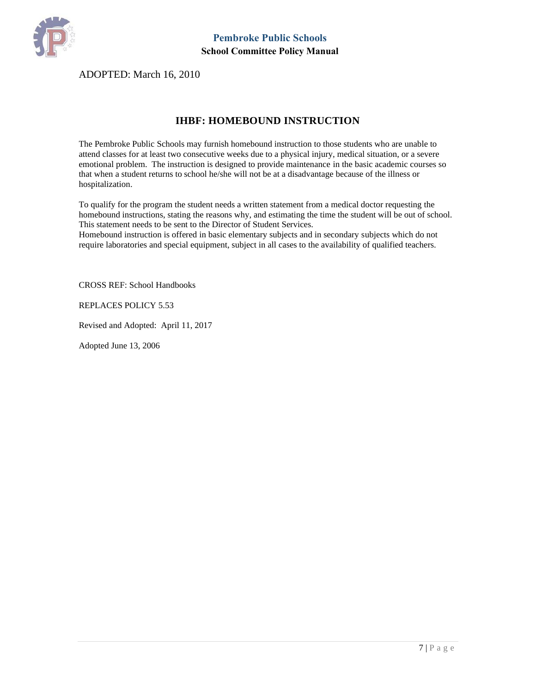

ADOPTED: March 16, 2010

#### **IHBF: HOMEBOUND INSTRUCTION**

<span id="page-6-0"></span>The Pembroke Public Schools may furnish homebound instruction to those students who are unable to attend classes for at least two consecutive weeks due to a physical injury, medical situation, or a severe emotional problem. The instruction is designed to provide maintenance in the basic academic courses so that when a student returns to school he/she will not be at a disadvantage because of the illness or hospitalization.

To qualify for the program the student needs a written statement from a medical doctor requesting the homebound instructions, stating the reasons why, and estimating the time the student will be out of school. This statement needs to be sent to the Director of Student Services.

Homebound instruction is offered in basic elementary subjects and in secondary subjects which do not require laboratories and special equipment, subject in all cases to the availability of qualified teachers.

CROSS REF: School Handbooks

REPLACES POLICY 5.53

Revised and Adopted: April 11, 2017

Adopted June 13, 2006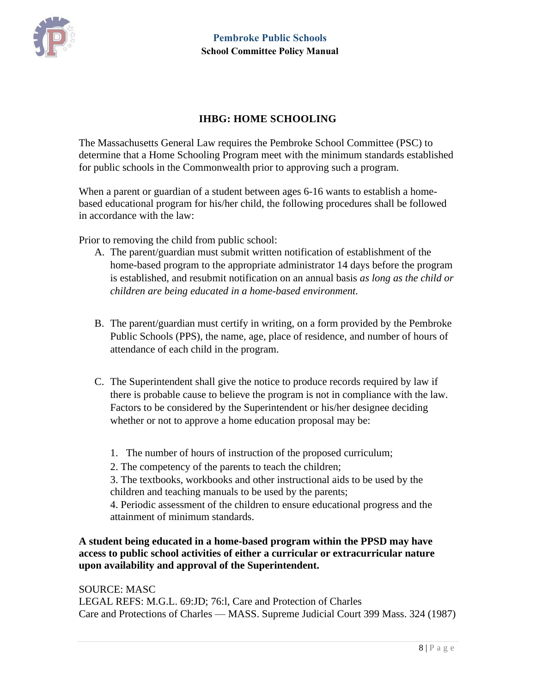

# **IHBG: HOME SCHOOLING**

<span id="page-7-0"></span>The Massachusetts General Law requires the Pembroke School Committee (PSC) to determine that a Home Schooling Program meet with the minimum standards established for public schools in the Commonwealth prior to approving such a program.

When a parent or guardian of a student between ages 6-16 wants to establish a homebased educational program for his/her child, the following procedures shall be followed in accordance with the law:

Prior to removing the child from public school:

- A. The parent/guardian must submit written notification of establishment of the home-based program to the appropriate administrator 14 days before the program is established, and resubmit notification on an annual basis *as long as the child or children are being educated in a home-based environment.*
- B. The parent/guardian must certify in writing, on a form provided by the Pembroke Public Schools (PPS), the name, age, place of residence, and number of hours of attendance of each child in the program.
- C. The Superintendent shall give the notice to produce records required by law if there is probable cause to believe the program is not in compliance with the law. Factors to be considered by the Superintendent or his/her designee deciding whether or not to approve a home education proposal may be:
	- 1. The number of hours of instruction of the proposed curriculum;
	- 2. The competency of the parents to teach the children;

3. The textbooks, workbooks and other instructional aids to be used by the children and teaching manuals to be used by the parents;

4. Periodic assessment of the children to ensure educational progress and the attainment of minimum standards.

**A student being educated in a home-based program within the PPSD may have access to public school activities of either a curricular or extracurricular nature upon availability and approval of the Superintendent.** 

SOURCE: MASC LEGAL REFS: M.G.L. 69:JD; 76:l, Care and Protection of Charles Care and Protections of Charles — MASS. Supreme Judicial Court 399 Mass. 324 (1987)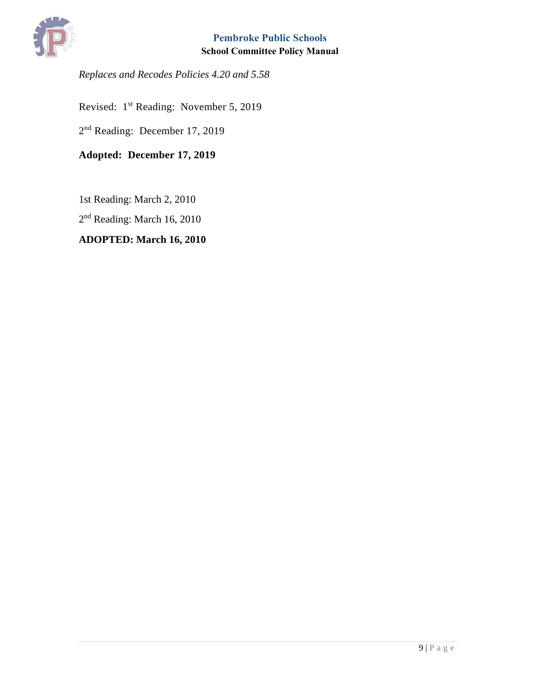

*Replaces and Recodes Policies 4.20 and 5.58* 

Revised: 1<sup>st</sup> Reading: November 5, 2019

2<sup>nd</sup> Reading: December 17, 2019

**Adopted: December 17, 2019**

1st Reading: March 2, 2010

2<sup>nd</sup> Reading: March 16, 2010

# **ADOPTED: March 16, 2010**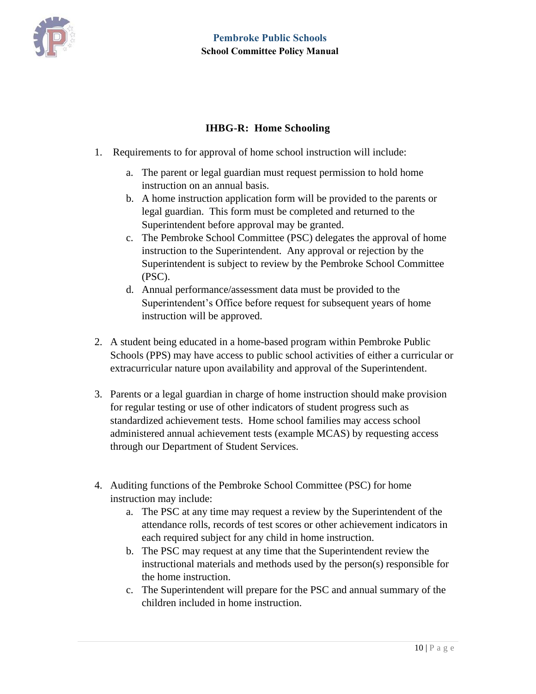

# **IHBG-R: Home Schooling**

- <span id="page-9-0"></span>1. Requirements to for approval of home school instruction will include:
	- a. The parent or legal guardian must request permission to hold home instruction on an annual basis.
	- b. A home instruction application form will be provided to the parents or legal guardian. This form must be completed and returned to the Superintendent before approval may be granted.
	- c. The Pembroke School Committee (PSC) delegates the approval of home instruction to the Superintendent. Any approval or rejection by the Superintendent is subject to review by the Pembroke School Committee (PSC).
	- d. Annual performance/assessment data must be provided to the Superintendent's Office before request for subsequent years of home instruction will be approved.
- 2. A student being educated in a home-based program within Pembroke Public Schools (PPS) may have access to public school activities of either a curricular or extracurricular nature upon availability and approval of the Superintendent.
- 3. Parents or a legal guardian in charge of home instruction should make provision for regular testing or use of other indicators of student progress such as standardized achievement tests. Home school families may access school administered annual achievement tests (example MCAS) by requesting access through our Department of Student Services.
- 4. Auditing functions of the Pembroke School Committee (PSC) for home instruction may include:
	- a. The PSC at any time may request a review by the Superintendent of the attendance rolls, records of test scores or other achievement indicators in each required subject for any child in home instruction.
	- b. The PSC may request at any time that the Superintendent review the instructional materials and methods used by the person(s) responsible for the home instruction.
	- c. The Superintendent will prepare for the PSC and annual summary of the children included in home instruction.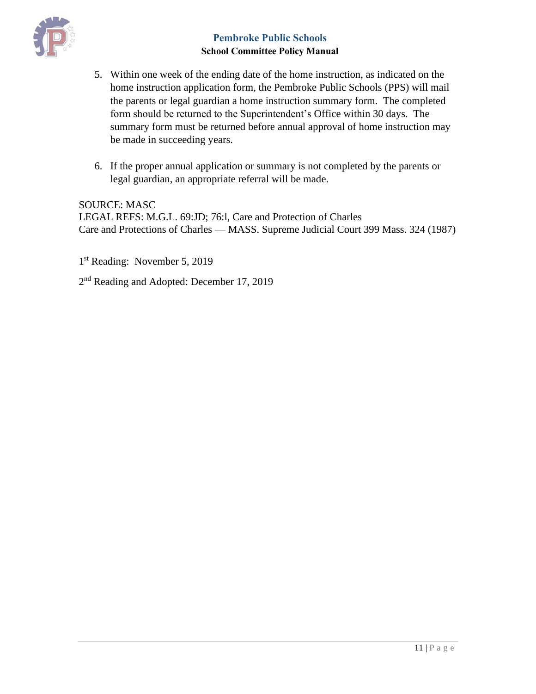

- 5. Within one week of the ending date of the home instruction, as indicated on the home instruction application form, the Pembroke Public Schools (PPS) will mail the parents or legal guardian a home instruction summary form. The completed form should be returned to the Superintendent's Office within 30 days. The summary form must be returned before annual approval of home instruction may be made in succeeding years.
- 6. If the proper annual application or summary is not completed by the parents or legal guardian, an appropriate referral will be made.

SOURCE: MASC LEGAL REFS: M.G.L. 69:JD; 76:l, Care and Protection of Charles Care and Protections of Charles — MASS. Supreme Judicial Court 399 Mass. 324 (1987)

1 st Reading: November 5, 2019

2<sup>nd</sup> Reading and Adopted: December 17, 2019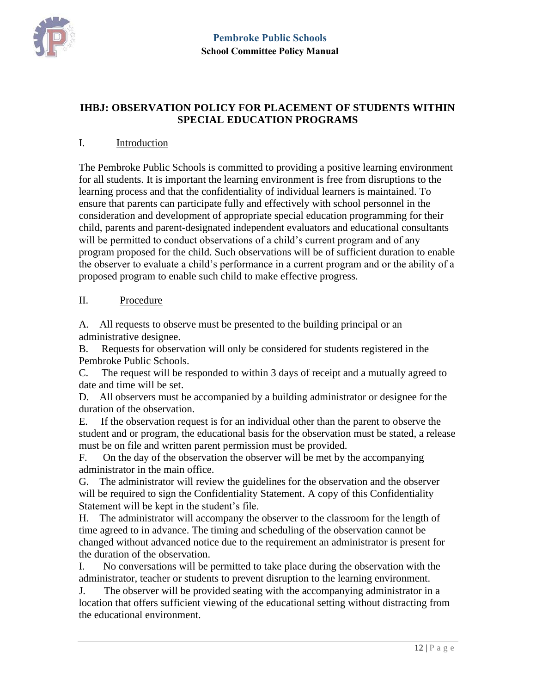

# <span id="page-11-0"></span>**IHBJ: OBSERVATION POLICY FOR PLACEMENT OF STUDENTS WITHIN SPECIAL EDUCATION PROGRAMS**

#### I. Introduction

The Pembroke Public Schools is committed to providing a positive learning environment for all students. It is important the learning environment is free from disruptions to the learning process and that the confidentiality of individual learners is maintained. To ensure that parents can participate fully and effectively with school personnel in the consideration and development of appropriate special education programming for their child, parents and parent-designated independent evaluators and educational consultants will be permitted to conduct observations of a child's current program and of any program proposed for the child. Such observations will be of sufficient duration to enable the observer to evaluate a child's performance in a current program and or the ability of a proposed program to enable such child to make effective progress.

#### II. Procedure

A. All requests to observe must be presented to the building principal or an administrative designee.

B. Requests for observation will only be considered for students registered in the Pembroke Public Schools.

C. The request will be responded to within 3 days of receipt and a mutually agreed to date and time will be set.

D. All observers must be accompanied by a building administrator or designee for the duration of the observation.

E. If the observation request is for an individual other than the parent to observe the student and or program, the educational basis for the observation must be stated, a release must be on file and written parent permission must be provided.

F. On the day of the observation the observer will be met by the accompanying administrator in the main office.

G. The administrator will review the guidelines for the observation and the observer will be required to sign the Confidentiality Statement. A copy of this Confidentiality Statement will be kept in the student's file.

H. The administrator will accompany the observer to the classroom for the length of time agreed to in advance. The timing and scheduling of the observation cannot be changed without advanced notice due to the requirement an administrator is present for the duration of the observation.

I. No conversations will be permitted to take place during the observation with the administrator, teacher or students to prevent disruption to the learning environment.

J. The observer will be provided seating with the accompanying administrator in a location that offers sufficient viewing of the educational setting without distracting from the educational environment.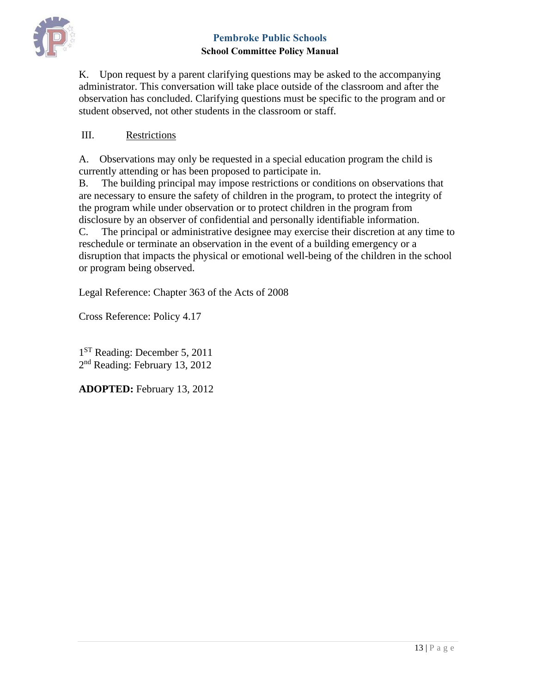

K. Upon request by a parent clarifying questions may be asked to the accompanying administrator. This conversation will take place outside of the classroom and after the observation has concluded. Clarifying questions must be specific to the program and or student observed, not other students in the classroom or staff.

### III. Restrictions

A. Observations may only be requested in a special education program the child is currently attending or has been proposed to participate in.

B. The building principal may impose restrictions or conditions on observations that are necessary to ensure the safety of children in the program, to protect the integrity of the program while under observation or to protect children in the program from disclosure by an observer of confidential and personally identifiable information. C. The principal or administrative designee may exercise their discretion at any time to reschedule or terminate an observation in the event of a building emergency or a disruption that impacts the physical or emotional well-being of the children in the school or program being observed.

Legal Reference: Chapter 363 of the Acts of 2008

Cross Reference: Policy 4.17

1<sup>ST</sup> Reading: December 5, 2011 2<sup>nd</sup> Reading: February 13, 2012

**ADOPTED:** February 13, 2012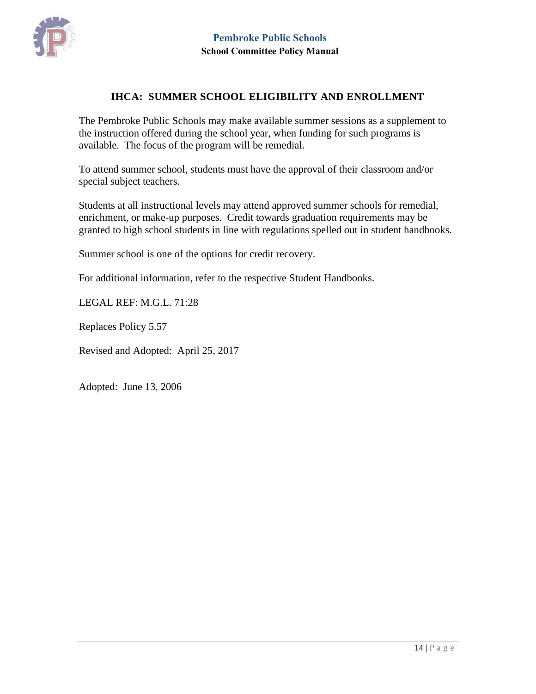

#### **IHCA: SUMMER SCHOOL ELIGIBILITY AND ENROLLMENT**

<span id="page-13-0"></span>The Pembroke Public Schools may make available summer sessions as a supplement to the instruction offered during the school year, when funding for such programs is available. The focus of the program will be remedial.

To attend summer school, students must have the approval of their classroom and/or special subject teachers.

Students at all instructional levels may attend approved summer schools for remedial, enrichment, or make-up purposes. Credit towards graduation requirements may be granted to high school students in line with regulations spelled out in student handbooks.

Summer school is one of the options for credit recovery.

For additional information, refer to the respective Student Handbooks.

LEGAL REF: M.G.L. 71:28

Replaces Policy 5.57

Revised and Adopted: April 25, 2017

Adopted: June 13, 2006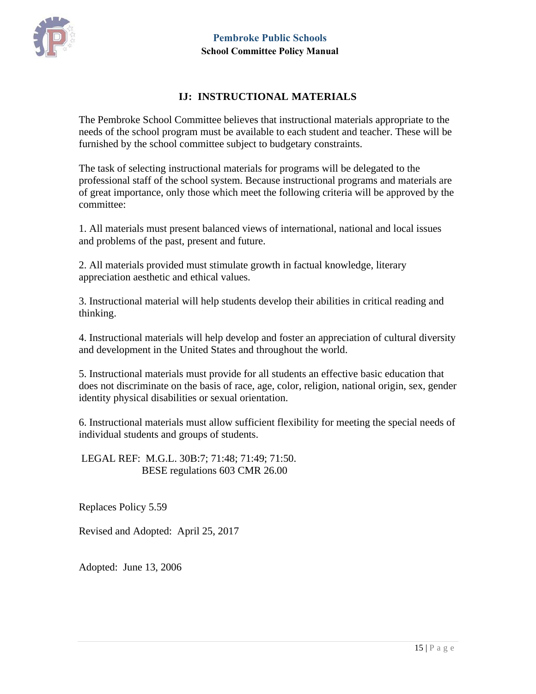

#### **IJ: INSTRUCTIONAL MATERIALS**

<span id="page-14-0"></span>The Pembroke School Committee believes that instructional materials appropriate to the needs of the school program must be available to each student and teacher. These will be furnished by the school committee subject to budgetary constraints.

The task of selecting instructional materials for programs will be delegated to the professional staff of the school system. Because instructional programs and materials are of great importance, only those which meet the following criteria will be approved by the committee:

1. All materials must present balanced views of international, national and local issues and problems of the past, present and future.

2. All materials provided must stimulate growth in factual knowledge, literary appreciation aesthetic and ethical values.

3. Instructional material will help students develop their abilities in critical reading and thinking.

4. Instructional materials will help develop and foster an appreciation of cultural diversity and development in the United States and throughout the world.

5. Instructional materials must provide for all students an effective basic education that does not discriminate on the basis of race, age, color, religion, national origin, sex, gender identity physical disabilities or sexual orientation.

6. Instructional materials must allow sufficient flexibility for meeting the special needs of individual students and groups of students.

LEGAL REF: M.G.L. 30B:7; 71:48; 71:49; 71:50. BESE regulations 603 CMR 26.00

Replaces Policy 5.59

Revised and Adopted: April 25, 2017

Adopted: June 13, 2006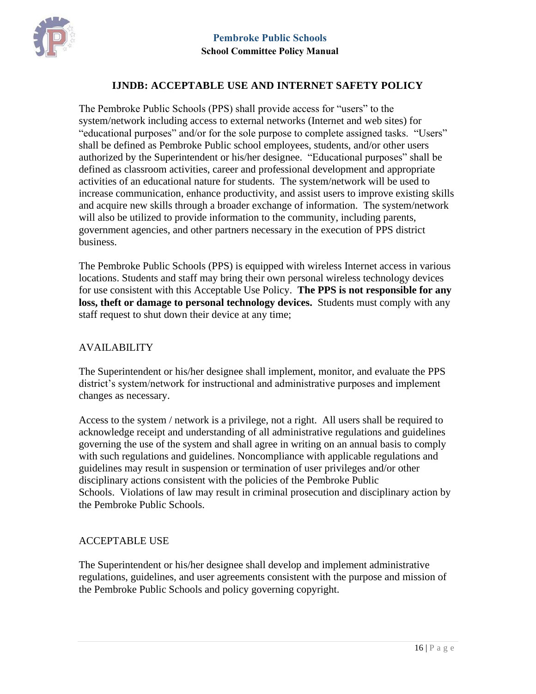

#### **IJNDB: ACCEPTABLE USE AND INTERNET SAFETY POLICY**

<span id="page-15-0"></span>The Pembroke Public Schools (PPS) shall provide access for "users" to the system/network including access to external networks (Internet and web sites) for "educational purposes" and/or for the sole purpose to complete assigned tasks. "Users" shall be defined as Pembroke Public school employees, students, and/or other users authorized by the Superintendent or his/her designee. "Educational purposes" shall be defined as classroom activities, career and professional development and appropriate activities of an educational nature for students. The system/network will be used to increase communication, enhance productivity, and assist users to improve existing skills and acquire new skills through a broader exchange of information. The system/network will also be utilized to provide information to the community, including parents, government agencies, and other partners necessary in the execution of PPS district business.

The Pembroke Public Schools (PPS) is equipped with wireless Internet access in various locations. Students and staff may bring their own personal wireless technology devices for use consistent with this Acceptable Use Policy. **The PPS is not responsible for any loss, theft or damage to personal technology devices.** Students must comply with any staff request to shut down their device at any time;

#### AVAILABILITY

The Superintendent or his/her designee shall implement, monitor, and evaluate the PPS district's system/network for instructional and administrative purposes and implement changes as necessary.

Access to the system / network is a privilege, not a right. All users shall be required to acknowledge receipt and understanding of all administrative regulations and guidelines governing the use of the system and shall agree in writing on an annual basis to comply with such regulations and guidelines. Noncompliance with applicable regulations and guidelines may result in suspension or termination of user privileges and/or other disciplinary actions consistent with the policies of the Pembroke Public Schools. Violations of law may result in criminal prosecution and disciplinary action by the Pembroke Public Schools.

#### ACCEPTABLE USE

The Superintendent or his/her designee shall develop and implement administrative regulations, guidelines, and user agreements consistent with the purpose and mission of the Pembroke Public Schools and policy governing copyright.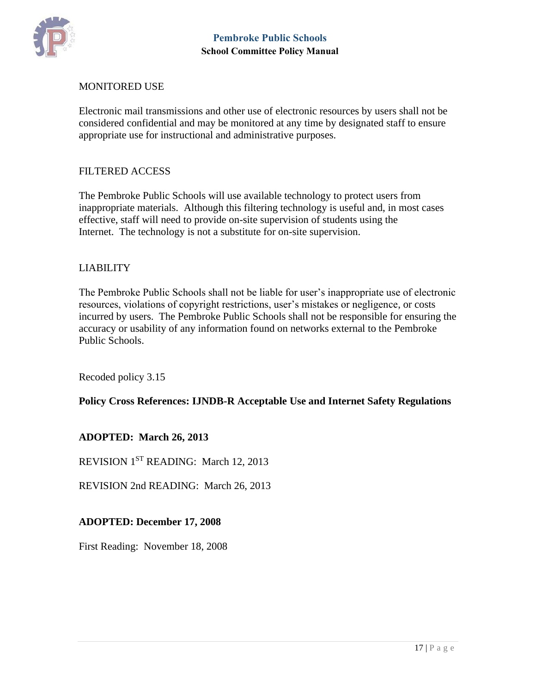

#### MONITORED USE

Electronic mail transmissions and other use of electronic resources by users shall not be considered confidential and may be monitored at any time by designated staff to ensure appropriate use for instructional and administrative purposes.

#### FILTERED ACCESS

The Pembroke Public Schools will use available technology to protect users from inappropriate materials. Although this filtering technology is useful and, in most cases effective, staff will need to provide on-site supervision of students using the Internet. The technology is not a substitute for on-site supervision.

### LIABILITY

The Pembroke Public Schools shall not be liable for user's inappropriate use of electronic resources, violations of copyright restrictions, user's mistakes or negligence, or costs incurred by users. The Pembroke Public Schools shall not be responsible for ensuring the accuracy or usability of any information found on networks external to the Pembroke Public Schools.

Recoded policy 3.15

**Policy Cross References: IJNDB-R Acceptable Use and Internet Safety Regulations**

**ADOPTED: March 26, 2013**

REVISION 1<sup>ST</sup> READING: March 12, 2013

REVISION 2nd READING: March 26, 2013

#### **ADOPTED: December 17, 2008**

First Reading: November 18, 2008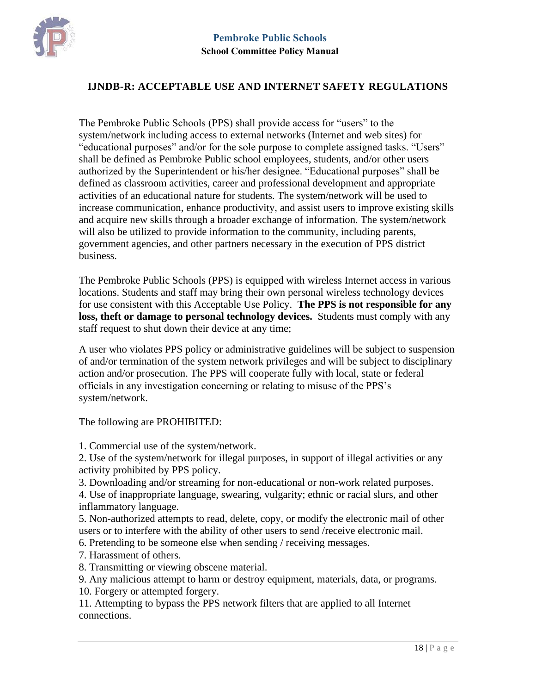

#### <span id="page-17-0"></span>**IJNDB-R: ACCEPTABLE USE AND INTERNET SAFETY REGULATIONS**

The Pembroke Public Schools (PPS) shall provide access for "users" to the system/network including access to external networks (Internet and web sites) for "educational purposes" and/or for the sole purpose to complete assigned tasks. "Users" shall be defined as Pembroke Public school employees, students, and/or other users authorized by the Superintendent or his/her designee. "Educational purposes" shall be defined as classroom activities, career and professional development and appropriate activities of an educational nature for students. The system/network will be used to increase communication, enhance productivity, and assist users to improve existing skills and acquire new skills through a broader exchange of information. The system/network will also be utilized to provide information to the community, including parents, government agencies, and other partners necessary in the execution of PPS district business.

The Pembroke Public Schools (PPS) is equipped with wireless Internet access in various locations. Students and staff may bring their own personal wireless technology devices for use consistent with this Acceptable Use Policy. **The PPS is not responsible for any loss, theft or damage to personal technology devices.** Students must comply with any staff request to shut down their device at any time;

A user who violates PPS policy or administrative guidelines will be subject to suspension of and/or termination of the system network privileges and will be subject to disciplinary action and/or prosecution. The PPS will cooperate fully with local, state or federal officials in any investigation concerning or relating to misuse of the PPS's system/network.

The following are PROHIBITED:

1. Commercial use of the system/network.

2. Use of the system/network for illegal purposes, in support of illegal activities or any activity prohibited by PPS policy.

3. Downloading and/or streaming for non-educational or non-work related purposes.

4. Use of inappropriate language, swearing, vulgarity; ethnic or racial slurs, and other inflammatory language.

5. Non-authorized attempts to read, delete, copy, or modify the electronic mail of other users or to interfere with the ability of other users to send /receive electronic mail.

6. Pretending to be someone else when sending / receiving messages.

7. Harassment of others.

8. Transmitting or viewing obscene material.

9. Any malicious attempt to harm or destroy equipment, materials, data, or programs.

10. Forgery or attempted forgery.

11. Attempting to bypass the PPS network filters that are applied to all Internet connections.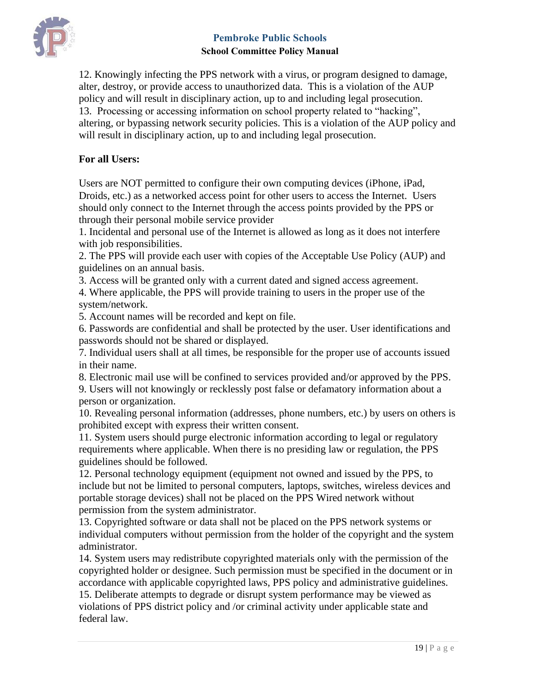

12. Knowingly infecting the PPS network with a virus, or program designed to damage, alter, destroy, or provide access to unauthorized data. This is a violation of the AUP policy and will result in disciplinary action, up to and including legal prosecution. 13. Processing or accessing information on school property related to "hacking", altering, or bypassing network security policies. This is a violation of the AUP policy and will result in disciplinary action, up to and including legal prosecution.

### **For all Users:**

Users are NOT permitted to configure their own computing devices (iPhone, iPad, Droids, etc.) as a networked access point for other users to access the Internet. Users should only connect to the Internet through the access points provided by the PPS or through their personal mobile service provider

1. Incidental and personal use of the Internet is allowed as long as it does not interfere with job responsibilities.

2. The PPS will provide each user with copies of the Acceptable Use Policy (AUP) and guidelines on an annual basis.

3. Access will be granted only with a current dated and signed access agreement.

4. Where applicable, the PPS will provide training to users in the proper use of the system/network.

5. Account names will be recorded and kept on file.

6. Passwords are confidential and shall be protected by the user. User identifications and passwords should not be shared or displayed.

7. Individual users shall at all times, be responsible for the proper use of accounts issued in their name.

8. Electronic mail use will be confined to services provided and/or approved by the PPS.

9. Users will not knowingly or recklessly post false or defamatory information about a person or organization.

10. Revealing personal information (addresses, phone numbers, etc.) by users on others is prohibited except with express their written consent.

11. System users should purge electronic information according to legal or regulatory requirements where applicable. When there is no presiding law or regulation, the PPS guidelines should be followed.

12. Personal technology equipment (equipment not owned and issued by the PPS, to include but not be limited to personal computers, laptops, switches, wireless devices and portable storage devices) shall not be placed on the PPS Wired network without permission from the system administrator.

13. Copyrighted software or data shall not be placed on the PPS network systems or individual computers without permission from the holder of the copyright and the system administrator.

14. System users may redistribute copyrighted materials only with the permission of the copyrighted holder or designee. Such permission must be specified in the document or in accordance with applicable copyrighted laws, PPS policy and administrative guidelines. 15. Deliberate attempts to degrade or disrupt system performance may be viewed as violations of PPS district policy and /or criminal activity under applicable state and federal law.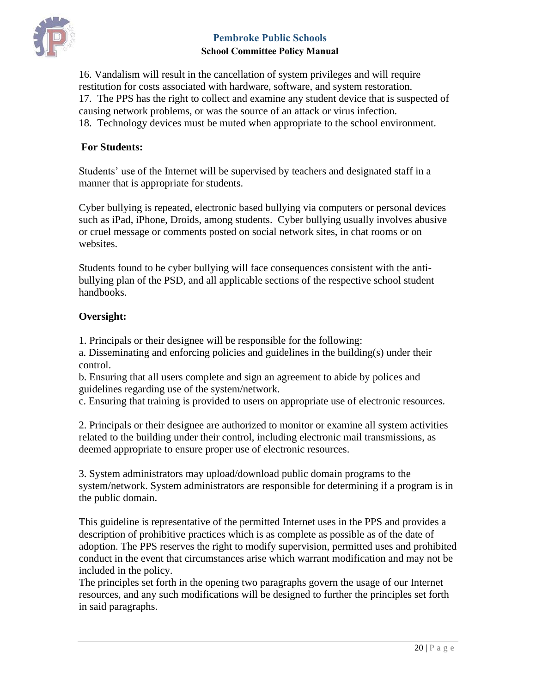

16. Vandalism will result in the cancellation of system privileges and will require restitution for costs associated with hardware, software, and system restoration. 17. The PPS has the right to collect and examine any student device that is suspected of causing network problems, or was the source of an attack or virus infection. 18. Technology devices must be muted when appropriate to the school environment.

#### **For Students:**

Students' use of the Internet will be supervised by teachers and designated staff in a manner that is appropriate for students.

Cyber bullying is repeated, electronic based bullying via computers or personal devices such as iPad, iPhone, Droids, among students. Cyber bullying usually involves abusive or cruel message or comments posted on social network sites, in chat rooms or on websites.

Students found to be cyber bullying will face consequences consistent with the antibullying plan of the PSD, and all applicable sections of the respective school student handbooks.

### **Oversight:**

1. Principals or their designee will be responsible for the following:

a. Disseminating and enforcing policies and guidelines in the building(s) under their control.

b. Ensuring that all users complete and sign an agreement to abide by polices and guidelines regarding use of the system/network.

c. Ensuring that training is provided to users on appropriate use of electronic resources.

2. Principals or their designee are authorized to monitor or examine all system activities related to the building under their control, including electronic mail transmissions, as deemed appropriate to ensure proper use of electronic resources.

3. System administrators may upload/download public domain programs to the system/network. System administrators are responsible for determining if a program is in the public domain.

This guideline is representative of the permitted Internet uses in the PPS and provides a description of prohibitive practices which is as complete as possible as of the date of adoption. The PPS reserves the right to modify supervision, permitted uses and prohibited conduct in the event that circumstances arise which warrant modification and may not be included in the policy.

The principles set forth in the opening two paragraphs govern the usage of our Internet resources, and any such modifications will be designed to further the principles set forth in said paragraphs.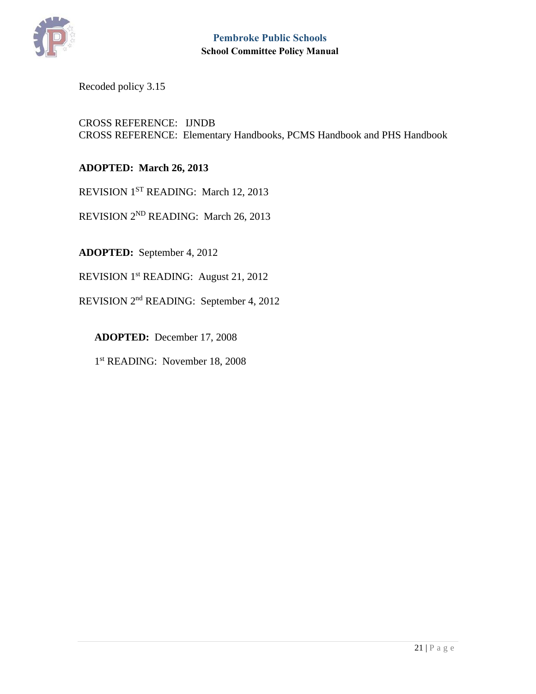

# Recoded policy 3.15

#### CROSS REFERENCE: IJNDB CROSS REFERENCE: Elementary Handbooks, PCMS Handbook and PHS Handbook

#### **ADOPTED: March 26, 2013**

REVISION 1<sup>ST</sup> READING: March 12, 2013

REVISION 2ND READING: March 26, 2013

**ADOPTED:** September 4, 2012

REVISION 1st READING: August 21, 2012

REVISION 2nd READING: September 4, 2012

 **ADOPTED:** December 17, 2008

1<sup>st</sup> READING: November 18, 2008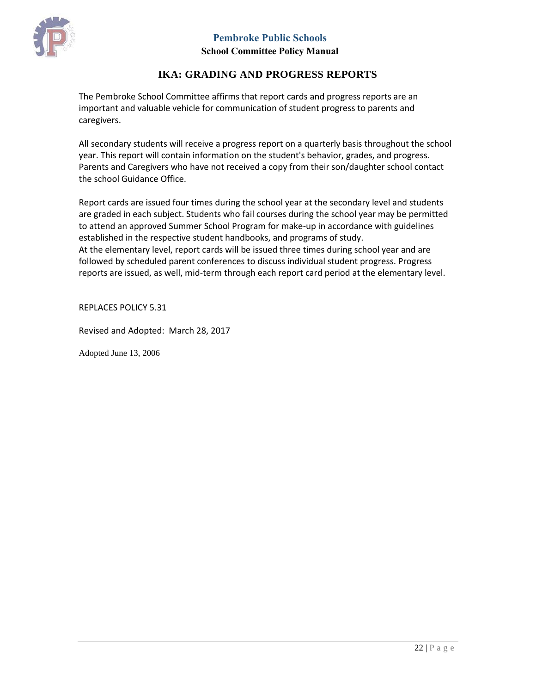

# **IKA: GRADING AND PROGRESS REPORTS**

<span id="page-21-0"></span>The Pembroke School Committee affirms that report cards and progress reports are an important and valuable vehicle for communication of student progress to parents and caregivers.

All secondary students will receive a progress report on a quarterly basis throughout the school year. This report will contain information on the student's behavior, grades, and progress. Parents and Caregivers who have not received a copy from their son/daughter school contact the school Guidance Office.

Report cards are issued four times during the school year at the secondary level and students are graded in each subject. Students who fail courses during the school year may be permitted to attend an approved Summer School Program for make-up in accordance with guidelines established in the respective student handbooks, and programs of study. At the elementary level, report cards will be issued three times during school year and are

followed by scheduled parent conferences to discuss individual student progress. Progress reports are issued, as well, mid-term through each report card period at the elementary level.

REPLACES POLICY 5.31

Revised and Adopted: March 28, 2017

Adopted June 13, 2006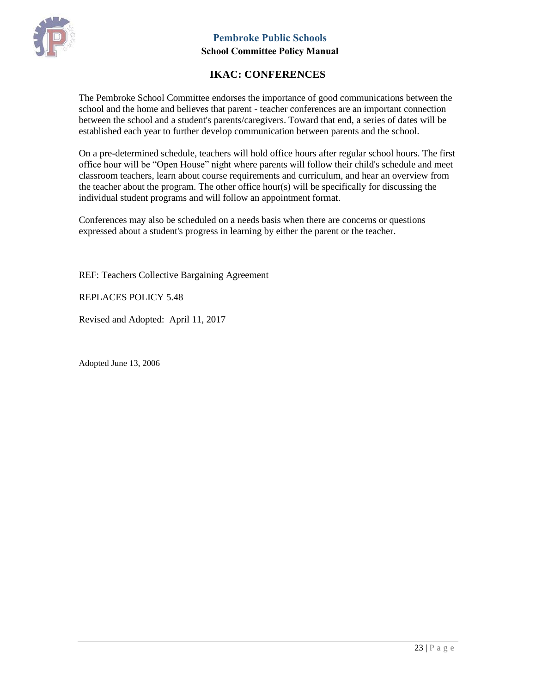

# **IKAC: CONFERENCES**

<span id="page-22-0"></span>The Pembroke School Committee endorses the importance of good communications between the school and the home and believes that parent - teacher conferences are an important connection between the school and a student's parents/caregivers. Toward that end, a series of dates will be established each year to further develop communication between parents and the school.

On a pre-determined schedule, teachers will hold office hours after regular school hours. The first office hour will be "Open House" night where parents will follow their child's schedule and meet classroom teachers, learn about course requirements and curriculum, and hear an overview from the teacher about the program. The other office hour(s) will be specifically for discussing the individual student programs and will follow an appointment format.

Conferences may also be scheduled on a needs basis when there are concerns or questions expressed about a student's progress in learning by either the parent or the teacher.

REF: Teachers Collective Bargaining Agreement

REPLACES POLICY 5.48

Revised and Adopted: April 11, 2017

Adopted June 13, 2006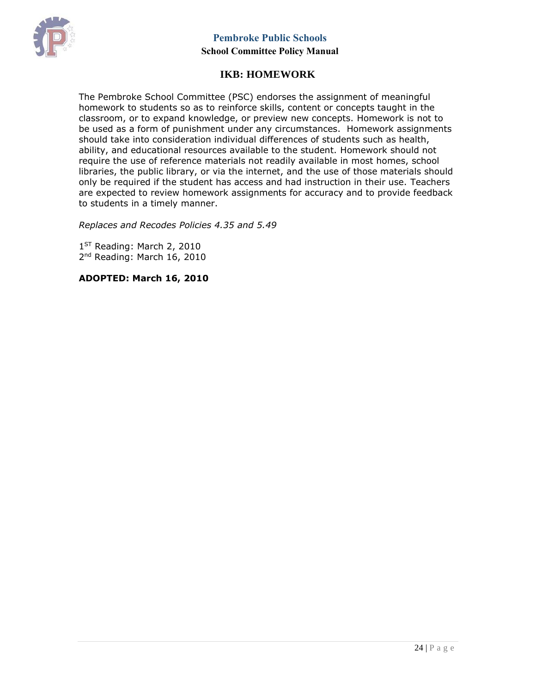

# **IKB: HOMEWORK**

<span id="page-23-0"></span>The Pembroke School Committee (PSC) endorses the assignment of meaningful homework to students so as to reinforce skills, content or concepts taught in the classroom, or to expand knowledge, or preview new concepts. Homework is not to be used as a form of punishment under any circumstances. Homework assignments should take into consideration individual differences of students such as health, ability, and educational resources available to the student. Homework should not require the use of reference materials not readily available in most homes, school libraries, the public library, or via the internet, and the use of those materials should only be required if the student has access and had instruction in their use. Teachers are expected to review homework assignments for accuracy and to provide feedback to students in a timely manner.

*Replaces and Recodes Policies 4.35 and 5.49*

1<sup>ST</sup> Reading: March 2, 2010 2<sup>nd</sup> Reading: March 16, 2010

**ADOPTED: March 16, 2010**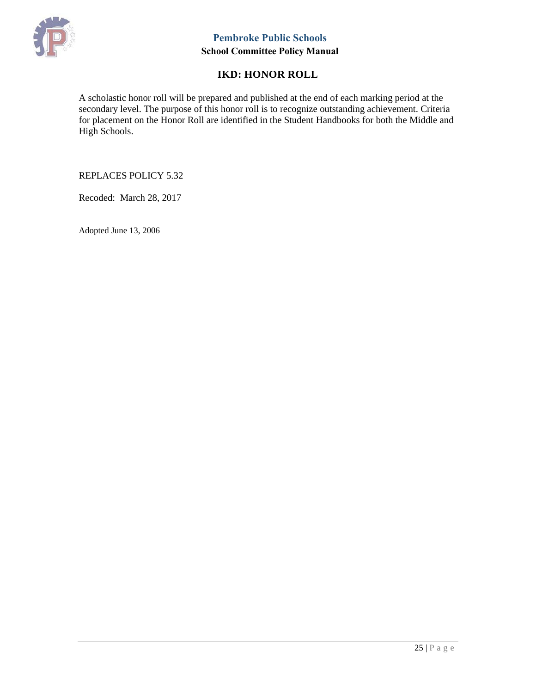

# **IKD: HONOR ROLL**

<span id="page-24-0"></span>A scholastic honor roll will be prepared and published at the end of each marking period at the secondary level. The purpose of this honor roll is to recognize outstanding achievement. Criteria for placement on the Honor Roll are identified in the Student Handbooks for both the Middle and High Schools.

#### REPLACES POLICY 5.32

Recoded: March 28, 2017

Adopted June 13, 2006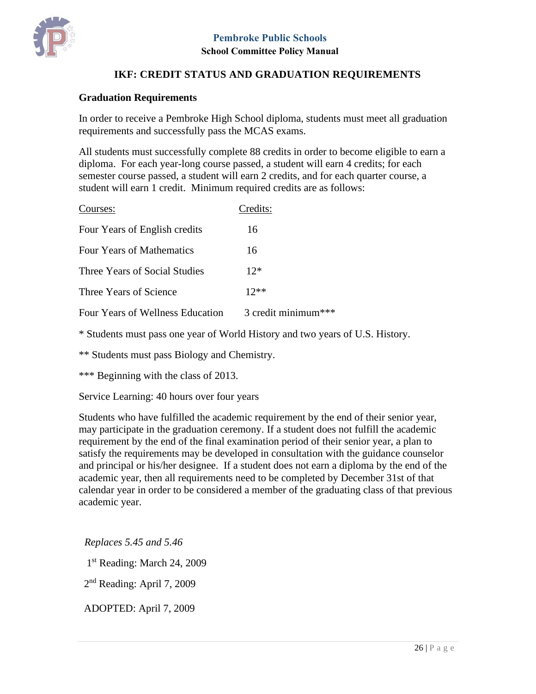



#### <span id="page-25-0"></span>**Graduation Requirements**

In order to receive a Pembroke High School diploma, students must meet all graduation requirements and successfully pass the MCAS exams.

All students must successfully complete 88 credits in order to become eligible to earn a diploma. For each year-long course passed, a student will earn 4 credits; for each semester course passed, a student will earn 2 credits, and for each quarter course, a student will earn 1 credit. Minimum required credits are as follows:

| Courses:                         | Credits:            |
|----------------------------------|---------------------|
| Four Years of English credits    | 16                  |
| <b>Four Years of Mathematics</b> | 16                  |
| Three Years of Social Studies    | $12*$               |
| Three Years of Science           | $12**$              |
| Four Years of Wellness Education | 3 credit minimum*** |
|                                  |                     |

\* Students must pass one year of World History and two years of U.S. History.

\*\* Students must pass Biology and Chemistry.

\*\*\* Beginning with the class of 2013.

Service Learning: 40 hours over four years

Students who have fulfilled the academic requirement by the end of their senior year, may participate in the graduation ceremony. If a student does not fulfill the academic requirement by the end of the final examination period of their senior year, a plan to satisfy the requirements may be developed in consultation with the guidance counselor and principal or his/her designee. If a student does not earn a diploma by the end of the academic year, then all requirements need to be completed by December 31st of that calendar year in order to be considered a member of the graduating class of that previous academic year.

*Replaces 5.45 and 5.46*

1<sup>st</sup> Reading: March 24, 2009

2<sup>nd</sup> Reading: April 7, 2009

ADOPTED: April 7, 2009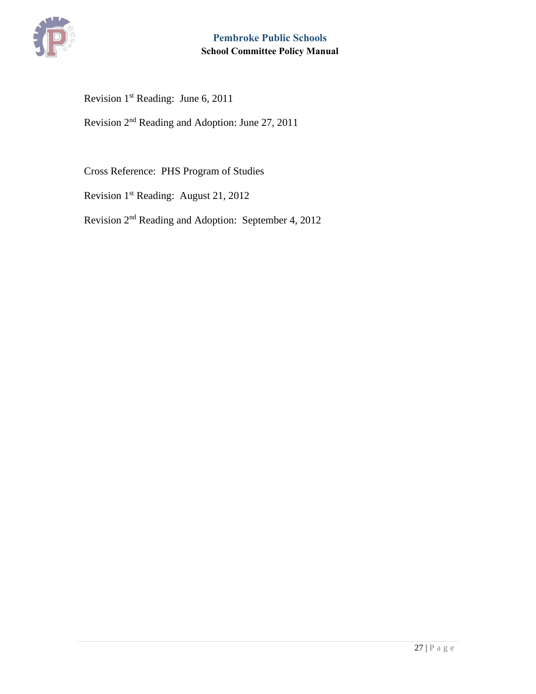

Revision 1st Reading: June 6, 2011

Revision 2nd Reading and Adoption: June 27, 2011

Cross Reference: PHS Program of Studies

Revision 1st Reading: August 21, 2012

Revision 2nd Reading and Adoption: September 4, 2012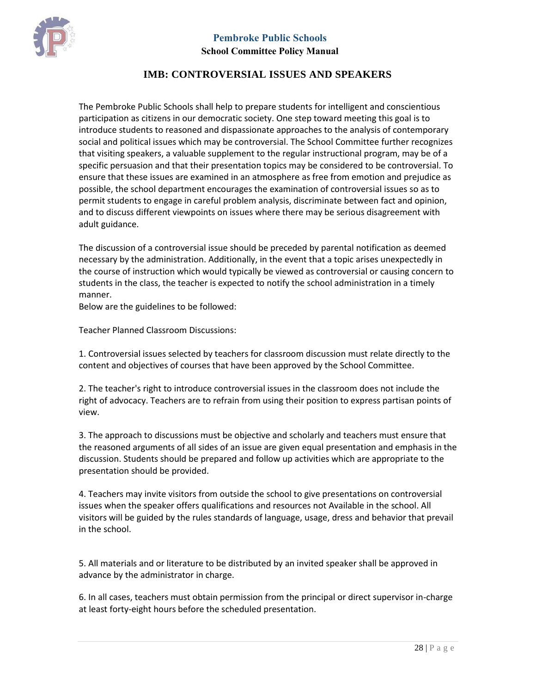



#### **School Committee Policy Manual**

#### **IMB: CONTROVERSIAL ISSUES AND SPEAKERS**

<span id="page-27-0"></span>The Pembroke Public Schools shall help to prepare students for intelligent and conscientious participation as citizens in our democratic society. One step toward meeting this goal is to introduce students to reasoned and dispassionate approaches to the analysis of contemporary social and political issues which may be controversial. The School Committee further recognizes that visiting speakers, a valuable supplement to the regular instructional program, may be of a specific persuasion and that their presentation topics may be considered to be controversial. To ensure that these issues are examined in an atmosphere as free from emotion and prejudice as possible, the school department encourages the examination of controversial issues so as to permit students to engage in careful problem analysis, discriminate between fact and opinion, and to discuss different viewpoints on issues where there may be serious disagreement with adult guidance.

The discussion of a controversial issue should be preceded by parental notification as deemed necessary by the administration. Additionally, in the event that a topic arises unexpectedly in the course of instruction which would typically be viewed as controversial or causing concern to students in the class, the teacher is expected to notify the school administration in a timely manner.

Below are the guidelines to be followed:

Teacher Planned Classroom Discussions:

1. Controversial issues selected by teachers for classroom discussion must relate directly to the content and objectives of courses that have been approved by the School Committee.

2. The teacher's right to introduce controversial issues in the classroom does not include the right of advocacy. Teachers are to refrain from using their position to express partisan points of view.

3. The approach to discussions must be objective and scholarly and teachers must ensure that the reasoned arguments of all sides of an issue are given equal presentation and emphasis in the discussion. Students should be prepared and follow up activities which are appropriate to the presentation should be provided.

4. Teachers may invite visitors from outside the school to give presentations on controversial issues when the speaker offers qualifications and resources not Available in the school. All visitors will be guided by the rules standards of language, usage, dress and behavior that prevail in the school.

5. All materials and or literature to be distributed by an invited speaker shall be approved in advance by the administrator in charge.

6. In all cases, teachers must obtain permission from the principal or direct supervisor in-charge at least forty-eight hours before the scheduled presentation.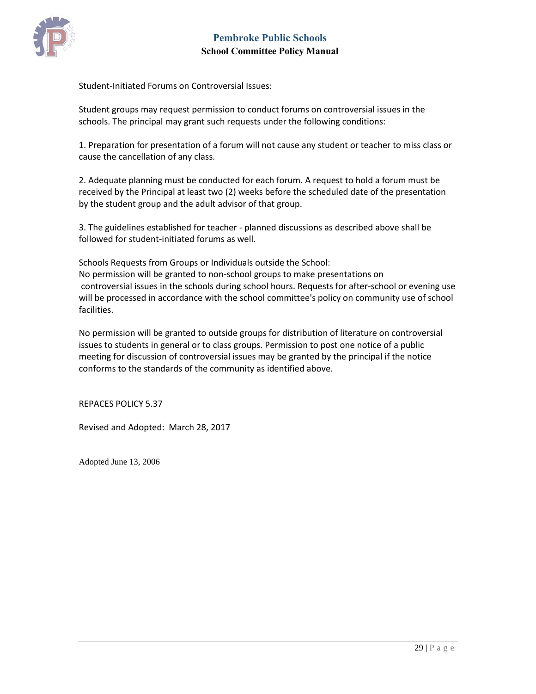

Student-Initiated Forums on Controversial Issues:

Student groups may request permission to conduct forums on controversial issues in the schools. The principal may grant such requests under the following conditions:

1. Preparation for presentation of a forum will not cause any student or teacher to miss class or cause the cancellation of any class.

2. Adequate planning must be conducted for each forum. A request to hold a forum must be received by the Principal at least two (2) weeks before the scheduled date of the presentation by the student group and the adult advisor of that group.

3. The guidelines established for teacher - planned discussions as described above shall be followed for student-initiated forums as well.

Schools Requests from Groups or Individuals outside the School: No permission will be granted to non-school groups to make presentations on controversial issues in the schools during school hours. Requests for after-school or evening use will be processed in accordance with the school committee's policy on community use of school

No permission will be granted to outside groups for distribution of literature on controversial issues to students in general or to class groups. Permission to post one notice of a public meeting for discussion of controversial issues may be granted by the principal if the notice conforms to the standards of the community as identified above.

REPACES POLICY 5.37

facilities.

Revised and Adopted: March 28, 2017

Adopted June 13, 2006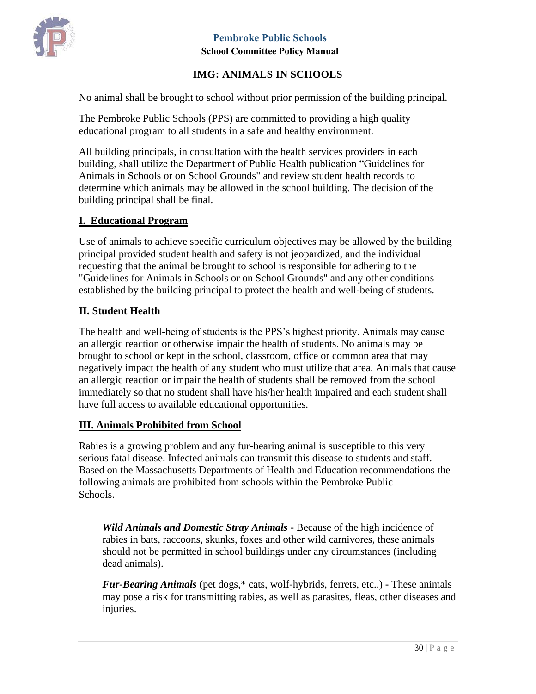

# **IMG: ANIMALS IN SCHOOLS**

<span id="page-29-0"></span>No animal shall be brought to school without prior permission of the building principal.

The Pembroke Public Schools (PPS) are committed to providing a high quality educational program to all students in a safe and healthy environment.

All building principals, in consultation with the health services providers in each building, shall utilize the Department of Public Health publication "Guidelines for Animals in Schools or on School Grounds" and review student health records to determine which animals may be allowed in the school building. The decision of the building principal shall be final.

### **I. Educational Program**

Use of animals to achieve specific curriculum objectives may be allowed by the building principal provided student health and safety is not jeopardized, and the individual requesting that the animal be brought to school is responsible for adhering to the "Guidelines for Animals in Schools or on School Grounds" and any other conditions established by the building principal to protect the health and well-being of students.

### **II. Student Health**

The health and well-being of students is the PPS's highest priority. Animals may cause an allergic reaction or otherwise impair the health of students. No animals may be brought to school or kept in the school, classroom, office or common area that may negatively impact the health of any student who must utilize that area. Animals that cause an allergic reaction or impair the health of students shall be removed from the school immediately so that no student shall have his/her health impaired and each student shall have full access to available educational opportunities.

#### **III. Animals Prohibited from School**

Rabies is a growing problem and any fur-bearing animal is susceptible to this very serious fatal disease. Infected animals can transmit this disease to students and staff. Based on the Massachusetts Departments of Health and Education recommendations the following animals are prohibited from schools within the Pembroke Public Schools.

*Wild Animals and Domestic Stray Animals* **-** Because of the high incidence of rabies in bats, raccoons, skunks, foxes and other wild carnivores, these animals should not be permitted in school buildings under any circumstances (including dead animals).

*Fur-Bearing Animals* **(**pet dogs,\* cats, wolf-hybrids, ferrets, etc.,) **-** These animals may pose a risk for transmitting rabies, as well as parasites, fleas, other diseases and injuries.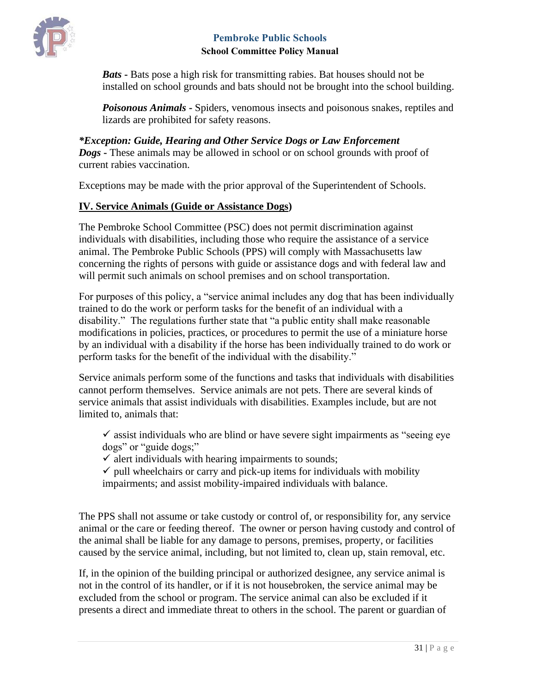

*Bats* **-** Bats pose a high risk for transmitting rabies. Bat houses should not be installed on school grounds and bats should not be brought into the school building.

*Poisonous Animals* **-** Spiders, venomous insects and poisonous snakes, reptiles and lizards are prohibited for safety reasons.

*\*Exception: Guide, Hearing and Other Service Dogs or Law Enforcement Dogs* **-** These animals may be allowed in school or on school grounds with proof of current rabies vaccination.

Exceptions may be made with the prior approval of the Superintendent of Schools.

# **IV. Service Animals (Guide or Assistance Dogs)**

The Pembroke School Committee (PSC) does not permit discrimination against individuals with disabilities, including those who require the assistance of a service animal. The Pembroke Public Schools (PPS) will comply with Massachusetts law concerning the rights of persons with guide or assistance dogs and with federal law and will permit such animals on school premises and on school transportation.

For purposes of this policy, a "service animal includes any dog that has been individually trained to do the work or perform tasks for the benefit of an individual with a disability." The regulations further state that "a public entity shall make reasonable modifications in policies, practices, or procedures to permit the use of a miniature horse by an individual with a disability if the horse has been individually trained to do work or perform tasks for the benefit of the individual with the disability."

Service animals perform some of the functions and tasks that individuals with disabilities cannot perform themselves. Service animals are not pets. There are several kinds of service animals that assist individuals with disabilities. Examples include, but are not limited to, animals that:

 $\checkmark$  assist individuals who are blind or have severe sight impairments as "seeing eye" dogs" or "guide dogs;"

 $\checkmark$  alert individuals with hearing impairments to sounds;

 $\checkmark$  pull wheelchairs or carry and pick-up items for individuals with mobility impairments; and assist mobility-impaired individuals with balance.

The PPS shall not assume or take custody or control of, or responsibility for, any service animal or the care or feeding thereof. The owner or person having custody and control of the animal shall be liable for any damage to persons, premises, property, or facilities caused by the service animal, including, but not limited to, clean up, stain removal, etc.

If, in the opinion of the building principal or authorized designee, any service animal is not in the control of its handler, or if it is not housebroken, the service animal may be excluded from the school or program. The service animal can also be excluded if it presents a direct and immediate threat to others in the school. The parent or guardian of